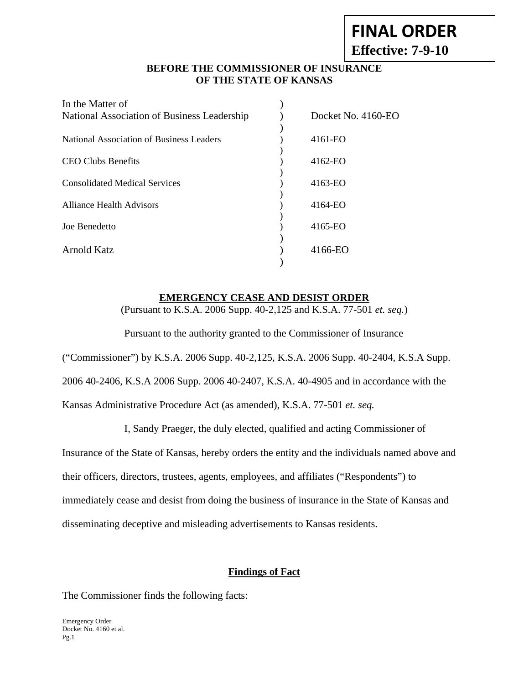# **FINAL ORDER**

**Effective: 7-9-10** 

# **BEFORE THE COMMISSIONER OF INSURANCE OF THE STATE OF KANSAS**

| In the Matter of                            |                    |
|---------------------------------------------|--------------------|
| National Association of Business Leadership | Docket No. 4160-EO |
| National Association of Business Leaders    | 4161-EO            |
| <b>CEO Clubs Benefits</b>                   | $4162-EO$          |
| <b>Consolidated Medical Services</b>        | 4163-EO            |
| <b>Alliance Health Advisors</b>             | 4164-EO            |
| Joe Benedetto                               | 4165-EO            |
| Arnold Katz                                 | 4166-EO            |

#### **EMERGENCY CEASE AND DESIST ORDER**

(Pursuant to K.S.A. 2006 Supp. 40-2,125 and K.S.A. 77-501 *et. seq.*)

Pursuant to the authority granted to the Commissioner of Insurance

("Commissioner") by K.S.A. 2006 Supp. 40-2,125, K.S.A. 2006 Supp. 40-2404, K.S.A Supp.

2006 40-2406, K.S.A 2006 Supp. 2006 40-2407, K.S.A. 40-4905 and in accordance with the

Kansas Administrative Procedure Act (as amended), K.S.A. 77-501 *et. seq.*

I, Sandy Praeger, the duly elected, qualified and acting Commissioner of

Insurance of the State of Kansas, hereby orders the entity and the individuals named above and

their officers, directors, trustees, agents, employees, and affiliates ("Respondents") to

immediately cease and desist from doing the business of insurance in the State of Kansas and disseminating deceptive and misleading advertisements to Kansas residents.

# **Findings of Fact**

The Commissioner finds the following facts: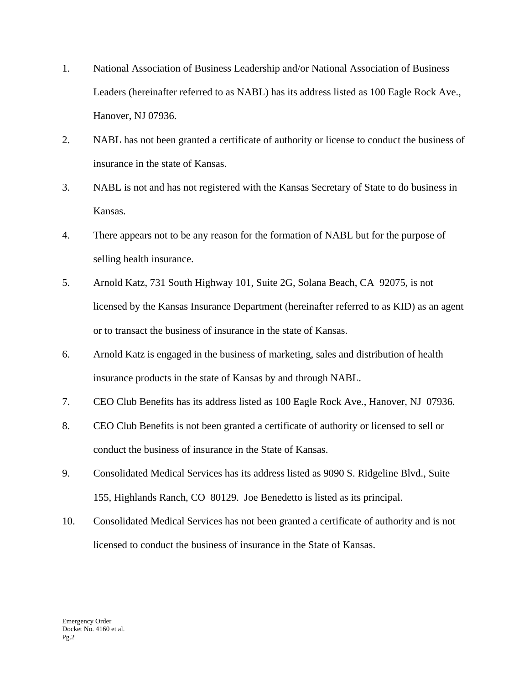- 1. National Association of Business Leadership and/or National Association of Business Leaders (hereinafter referred to as NABL) has its address listed as 100 Eagle Rock Ave., Hanover, NJ 07936.
- 2. NABL has not been granted a certificate of authority or license to conduct the business of insurance in the state of Kansas.
- 3. NABL is not and has not registered with the Kansas Secretary of State to do business in Kansas.
- 4. There appears not to be any reason for the formation of NABL but for the purpose of selling health insurance.
- 5. Arnold Katz, 731 South Highway 101, Suite 2G, Solana Beach, CA 92075, is not licensed by the Kansas Insurance Department (hereinafter referred to as KID) as an agent or to transact the business of insurance in the state of Kansas.
- 6. Arnold Katz is engaged in the business of marketing, sales and distribution of health insurance products in the state of Kansas by and through NABL.
- 7. CEO Club Benefits has its address listed as 100 Eagle Rock Ave., Hanover, NJ 07936.
- 8. CEO Club Benefits is not been granted a certificate of authority or licensed to sell or conduct the business of insurance in the State of Kansas.
- 9. Consolidated Medical Services has its address listed as 9090 S. Ridgeline Blvd., Suite 155, Highlands Ranch, CO 80129. Joe Benedetto is listed as its principal.
- 10. Consolidated Medical Services has not been granted a certificate of authority and is not licensed to conduct the business of insurance in the State of Kansas.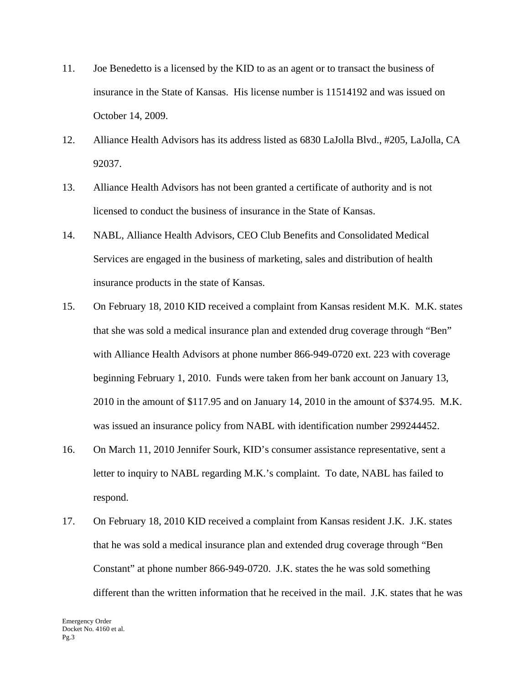- 11. Joe Benedetto is a licensed by the KID to as an agent or to transact the business of insurance in the State of Kansas. His license number is 11514192 and was issued on October 14, 2009.
- 12. Alliance Health Advisors has its address listed as 6830 LaJolla Blvd., #205, LaJolla, CA 92037.
- 13. Alliance Health Advisors has not been granted a certificate of authority and is not licensed to conduct the business of insurance in the State of Kansas.
- 14. NABL, Alliance Health Advisors, CEO Club Benefits and Consolidated Medical Services are engaged in the business of marketing, sales and distribution of health insurance products in the state of Kansas.
- 15. On February 18, 2010 KID received a complaint from Kansas resident M.K. M.K. states that she was sold a medical insurance plan and extended drug coverage through "Ben" with Alliance Health Advisors at phone number 866-949-0720 ext. 223 with coverage beginning February 1, 2010. Funds were taken from her bank account on January 13, 2010 in the amount of \$117.95 and on January 14, 2010 in the amount of \$374.95. M.K. was issued an insurance policy from NABL with identification number 299244452.
- 16. On March 11, 2010 Jennifer Sourk, KID's consumer assistance representative, sent a letter to inquiry to NABL regarding M.K.'s complaint. To date, NABL has failed to respond.
- 17. On February 18, 2010 KID received a complaint from Kansas resident J.K. J.K. states that he was sold a medical insurance plan and extended drug coverage through "Ben Constant" at phone number 866-949-0720. J.K. states the he was sold something different than the written information that he received in the mail. J.K. states that he was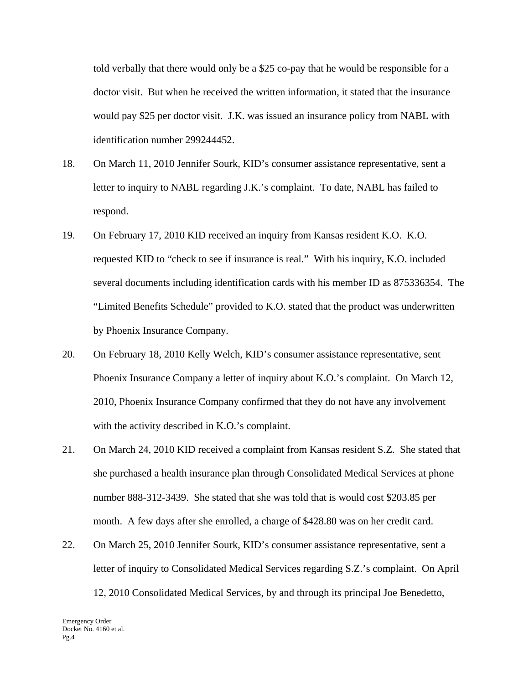told verbally that there would only be a \$25 co-pay that he would be responsible for a doctor visit. But when he received the written information, it stated that the insurance would pay \$25 per doctor visit. J.K. was issued an insurance policy from NABL with identification number 299244452.

- 18. On March 11, 2010 Jennifer Sourk, KID's consumer assistance representative, sent a letter to inquiry to NABL regarding J.K.'s complaint. To date, NABL has failed to respond.
- 19. On February 17, 2010 KID received an inquiry from Kansas resident K.O. K.O. requested KID to "check to see if insurance is real." With his inquiry, K.O. included several documents including identification cards with his member ID as 875336354. The "Limited Benefits Schedule" provided to K.O. stated that the product was underwritten by Phoenix Insurance Company.
- 20. On February 18, 2010 Kelly Welch, KID's consumer assistance representative, sent Phoenix Insurance Company a letter of inquiry about K.O.'s complaint. On March 12, 2010, Phoenix Insurance Company confirmed that they do not have any involvement with the activity described in K.O.'s complaint.
- 21. On March 24, 2010 KID received a complaint from Kansas resident S.Z. She stated that she purchased a health insurance plan through Consolidated Medical Services at phone number 888-312-3439. She stated that she was told that is would cost \$203.85 per month. A few days after she enrolled, a charge of \$428.80 was on her credit card.
- 22. On March 25, 2010 Jennifer Sourk, KID's consumer assistance representative, sent a letter of inquiry to Consolidated Medical Services regarding S.Z.'s complaint. On April 12, 2010 Consolidated Medical Services, by and through its principal Joe Benedetto,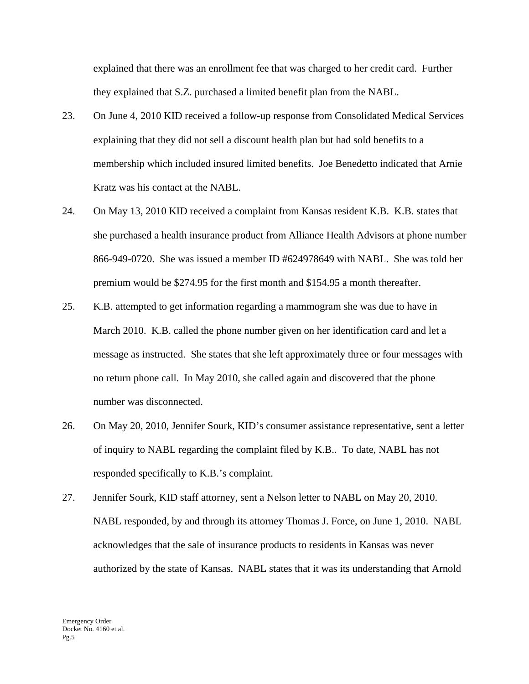explained that there was an enrollment fee that was charged to her credit card. Further they explained that S.Z. purchased a limited benefit plan from the NABL.

- 23. On June 4, 2010 KID received a follow-up response from Consolidated Medical Services explaining that they did not sell a discount health plan but had sold benefits to a membership which included insured limited benefits. Joe Benedetto indicated that Arnie Kratz was his contact at the NABL.
- 24. On May 13, 2010 KID received a complaint from Kansas resident K.B. K.B. states that she purchased a health insurance product from Alliance Health Advisors at phone number 866-949-0720. She was issued a member ID #624978649 with NABL. She was told her premium would be \$274.95 for the first month and \$154.95 a month thereafter.
- 25. K.B. attempted to get information regarding a mammogram she was due to have in March 2010. K.B. called the phone number given on her identification card and let a message as instructed. She states that she left approximately three or four messages with no return phone call. In May 2010, she called again and discovered that the phone number was disconnected.
- 26. On May 20, 2010, Jennifer Sourk, KID's consumer assistance representative, sent a letter of inquiry to NABL regarding the complaint filed by K.B.. To date, NABL has not responded specifically to K.B.'s complaint.
- 27. Jennifer Sourk, KID staff attorney, sent a Nelson letter to NABL on May 20, 2010. NABL responded, by and through its attorney Thomas J. Force, on June 1, 2010. NABL acknowledges that the sale of insurance products to residents in Kansas was never authorized by the state of Kansas. NABL states that it was its understanding that Arnold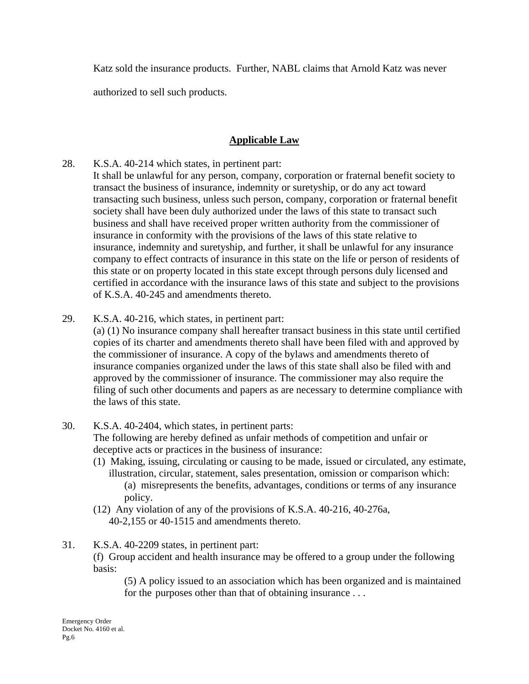Katz sold the insurance products. Further, NABL claims that Arnold Katz was never

authorized to sell such products.

# **Applicable Law**

- 28. K.S.A. 40-214 which states, in pertinent part:
- It shall be unlawful for any person, company, corporation or fraternal benefit society to transact the business of insurance, indemnity or suretyship, or do any act toward transacting such business, unless such person, company, corporation or fraternal benefit society shall have been duly authorized under the laws of this state to transact such business and shall have received proper written authority from the commissioner of insurance in conformity with the provisions of the laws of this state relative to insurance, indemnity and suretyship, and further, it shall be unlawful for any insurance company to effect contracts of insurance in this state on the life or person of residents of this state or on property located in this state except through persons duly licensed and certified in accordance with the insurance laws of this state and subject to the provisions of K.S.A. 40-245 and amendments thereto.
- 29. K.S.A. 40-216, which states, in pertinent part:

(a) (1) No insurance company shall hereafter transact business in this state until certified copies of its charter and amendments thereto shall have been filed with and approved by the commissioner of insurance. A copy of the bylaws and amendments thereto of insurance companies organized under the laws of this state shall also be filed with and approved by the commissioner of insurance. The commissioner may also require the filing of such other documents and papers as are necessary to determine compliance with the laws of this state.

- 30. K.S.A. 40-2404, which states, in pertinent parts: The following are hereby defined as unfair methods of competition and unfair or deceptive acts or practices in the business of insurance:
	- (1) Making, issuing, circulating or causing to be made, issued or circulated, any estimate, illustration, circular, statement, sales presentation, omission or comparison which: (a) misrepresents the benefits, advantages, conditions or terms of any insurance policy.
	- (12) Any violation of any of the provisions of K.S.A. 40-216, 40-276a, 40-2,155 or 40-1515 and amendments thereto.
- 31. K.S.A. 40-2209 states, in pertinent part:

(f) Group accident and health insurance may be offered to a group under the following basis:

 (5) A policy issued to an association which has been organized and is maintained for the purposes other than that of obtaining insurance . . .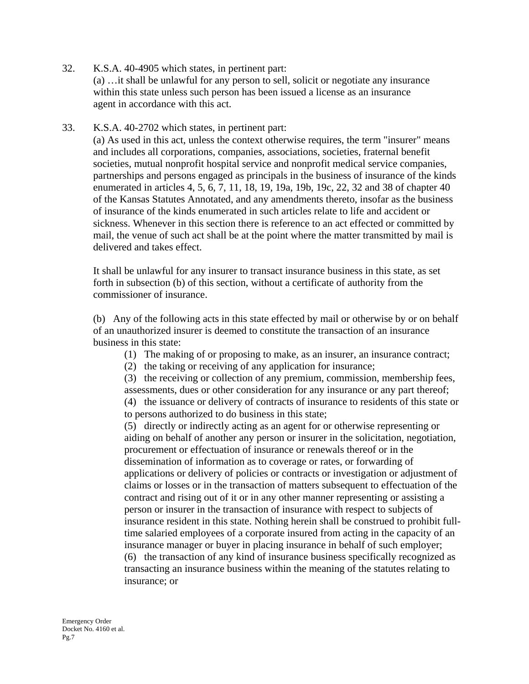32. K.S.A. 40-4905 which states, in pertinent part:

 (a) …it shall be unlawful for any person to sell, solicit or negotiate any insurance within this state unless such person has been issued a license as an insurance agent in accordance with this act.

33. K.S.A. 40-2702 which states, in pertinent part:

(a) As used in this act, unless the context otherwise requires, the term "insurer" means and includes all corporations, companies, associations, societies, fraternal benefit societies, mutual nonprofit hospital service and nonprofit medical service companies, partnerships and persons engaged as principals in the business of insurance of the kinds enumerated in articles 4, 5, 6, 7, 11, 18, 19, 19a, 19b, 19c, 22, 32 and 38 of chapter 40 of the Kansas Statutes Annotated, and any amendments thereto, insofar as the business of insurance of the kinds enumerated in such articles relate to life and accident or sickness. Whenever in this section there is reference to an act effected or committed by mail, the venue of such act shall be at the point where the matter transmitted by mail is delivered and takes effect.

It shall be unlawful for any insurer to transact insurance business in this state, as set forth in subsection (b) of this section, without a certificate of authority from the commissioner of insurance.

(b) Any of the following acts in this state effected by mail or otherwise by or on behalf of an unauthorized insurer is deemed to constitute the transaction of an insurance business in this state:

- (1) The making of or proposing to make, as an insurer, an insurance contract;
- (2) the taking or receiving of any application for insurance;

(3) the receiving or collection of any premium, commission, membership fees, assessments, dues or other consideration for any insurance or any part thereof; (4) the issuance or delivery of contracts of insurance to residents of this state or to persons authorized to do business in this state;

(5) directly or indirectly acting as an agent for or otherwise representing or aiding on behalf of another any person or insurer in the solicitation, negotiation, procurement or effectuation of insurance or renewals thereof or in the dissemination of information as to coverage or rates, or forwarding of applications or delivery of policies or contracts or investigation or adjustment of claims or losses or in the transaction of matters subsequent to effectuation of the contract and rising out of it or in any other manner representing or assisting a person or insurer in the transaction of insurance with respect to subjects of insurance resident in this state. Nothing herein shall be construed to prohibit fulltime salaried employees of a corporate insured from acting in the capacity of an insurance manager or buyer in placing insurance in behalf of such employer; (6) the transaction of any kind of insurance business specifically recognized as transacting an insurance business within the meaning of the statutes relating to insurance; or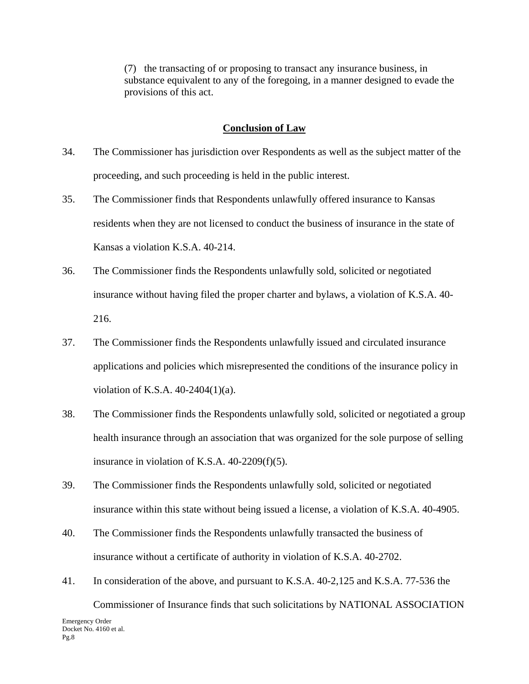(7) the transacting of or proposing to transact any insurance business, in substance equivalent to any of the foregoing, in a manner designed to evade the provisions of this act.

#### **Conclusion of Law**

- 34. The Commissioner has jurisdiction over Respondents as well as the subject matter of the proceeding, and such proceeding is held in the public interest.
- 35. The Commissioner finds that Respondents unlawfully offered insurance to Kansas residents when they are not licensed to conduct the business of insurance in the state of Kansas a violation K.S.A. 40-214.
- 36. The Commissioner finds the Respondents unlawfully sold, solicited or negotiated insurance without having filed the proper charter and bylaws, a violation of K.S.A. 40- 216.
- 37. The Commissioner finds the Respondents unlawfully issued and circulated insurance applications and policies which misrepresented the conditions of the insurance policy in violation of K.S.A. 40-2404(1)(a).
- 38. The Commissioner finds the Respondents unlawfully sold, solicited or negotiated a group health insurance through an association that was organized for the sole purpose of selling insurance in violation of K.S.A. 40-2209(f)(5).
- 39. The Commissioner finds the Respondents unlawfully sold, solicited or negotiated insurance within this state without being issued a license, a violation of K.S.A. 40-4905.
- 40. The Commissioner finds the Respondents unlawfully transacted the business of insurance without a certificate of authority in violation of K.S.A. 40-2702.
- 41. In consideration of the above, and pursuant to K.S.A. 40-2,125 and K.S.A. 77-536 the

Emergency Order Docket No. 4160 et al. Pg.8 Commissioner of Insurance finds that such solicitations by NATIONAL ASSOCIATION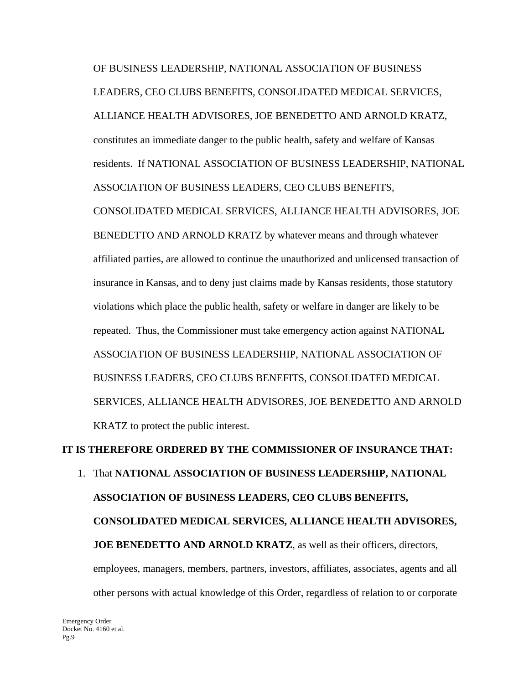OF BUSINESS LEADERSHIP, NATIONAL ASSOCIATION OF BUSINESS LEADERS, CEO CLUBS BENEFITS, CONSOLIDATED MEDICAL SERVICES, ALLIANCE HEALTH ADVISORES, JOE BENEDETTO AND ARNOLD KRATZ, constitutes an immediate danger to the public health, safety and welfare of Kansas residents. If NATIONAL ASSOCIATION OF BUSINESS LEADERSHIP, NATIONAL ASSOCIATION OF BUSINESS LEADERS, CEO CLUBS BENEFITS,

CONSOLIDATED MEDICAL SERVICES, ALLIANCE HEALTH ADVISORES, JOE BENEDETTO AND ARNOLD KRATZ by whatever means and through whatever affiliated parties, are allowed to continue the unauthorized and unlicensed transaction of insurance in Kansas, and to deny just claims made by Kansas residents, those statutory violations which place the public health, safety or welfare in danger are likely to be repeated. Thus, the Commissioner must take emergency action against NATIONAL ASSOCIATION OF BUSINESS LEADERSHIP, NATIONAL ASSOCIATION OF BUSINESS LEADERS, CEO CLUBS BENEFITS, CONSOLIDATED MEDICAL SERVICES, ALLIANCE HEALTH ADVISORES, JOE BENEDETTO AND ARNOLD KRATZ to protect the public interest.

# **IT IS THEREFORE ORDERED BY THE COMMISSIONER OF INSURANCE THAT:**

1. That **NATIONAL ASSOCIATION OF BUSINESS LEADERSHIP, NATIONAL ASSOCIATION OF BUSINESS LEADERS, CEO CLUBS BENEFITS, CONSOLIDATED MEDICAL SERVICES, ALLIANCE HEALTH ADVISORES, JOE BENEDETTO AND ARNOLD KRATZ**, as well as their officers, directors, employees, managers, members, partners, investors, affiliates, associates, agents and all other persons with actual knowledge of this Order, regardless of relation to or corporate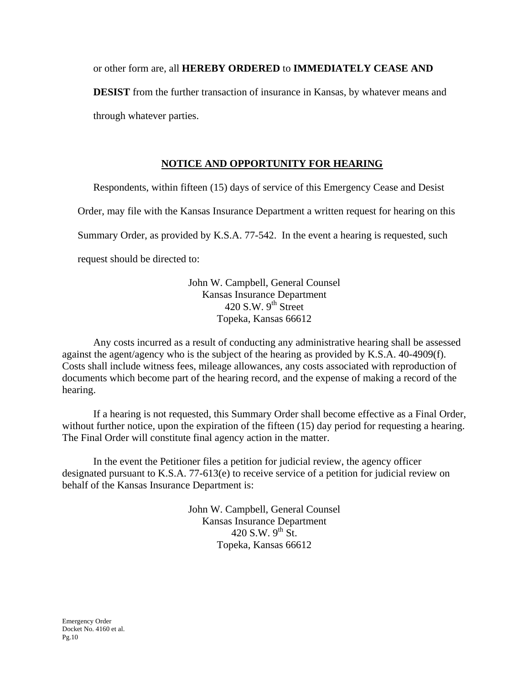or other form are, all **HEREBY ORDERED** to **IMMEDIATELY CEASE AND** 

**DESIST** from the further transaction of insurance in Kansas, by whatever means and through whatever parties.

# **NOTICE AND OPPORTUNITY FOR HEARING**

Respondents, within fifteen (15) days of service of this Emergency Cease and Desist

Order, may file with the Kansas Insurance Department a written request for hearing on this

Summary Order, as provided by K.S.A. 77-542. In the event a hearing is requested, such

request should be directed to:

John W. Campbell, General Counsel Kansas Insurance Department 420 S.W.  $9<sup>th</sup>$  Street Topeka, Kansas 66612

Any costs incurred as a result of conducting any administrative hearing shall be assessed against the agent/agency who is the subject of the hearing as provided by K.S.A. 40-4909(f). Costs shall include witness fees, mileage allowances, any costs associated with reproduction of documents which become part of the hearing record, and the expense of making a record of the hearing.

If a hearing is not requested, this Summary Order shall become effective as a Final Order, without further notice, upon the expiration of the fifteen (15) day period for requesting a hearing. The Final Order will constitute final agency action in the matter.

In the event the Petitioner files a petition for judicial review, the agency officer designated pursuant to K.S.A. 77-613(e) to receive service of a petition for judicial review on behalf of the Kansas Insurance Department is:

> John W. Campbell, General Counsel Kansas Insurance Department 420 S.W.  $9^{th}$  St. Topeka, Kansas 66612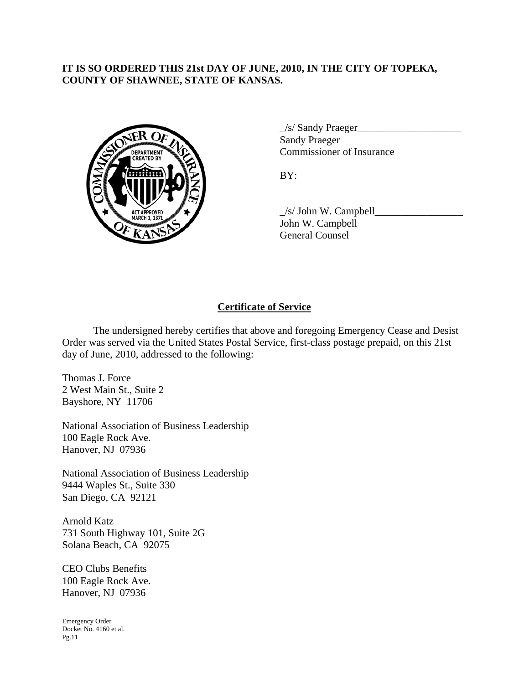# **IT IS SO ORDERED THIS 21st DAY OF JUNE, 2010, IN THE CITY OF TOPEKA, COUNTY OF SHAWNEE, STATE OF KANSAS.**



 $\angle$ s/ Sandy Praeger $\angle$  Sandy Praeger EPARTMENT VOLTURE COmmissioner of Insurance

 $\angle$ s/ John W. Campbell $\angle$  John W. Campbell General Counsel

# **Certificate of Service**

 The undersigned hereby certifies that above and foregoing Emergency Cease and Desist Order was served via the United States Postal Service, first-class postage prepaid, on this 21st day of June, 2010, addressed to the following:

Thomas J. Force 2 West Main St., Suite 2 Bayshore, NY 11706

National Association of Business Leadership 100 Eagle Rock Ave. Hanover, NJ 07936

National Association of Business Leadership 9444 Waples St., Suite 330 San Diego, CA 92121

Arnold Katz 731 South Highway 101, Suite 2G Solana Beach, CA 92075

CEO Clubs Benefits 100 Eagle Rock Ave. Hanover, NJ 07936